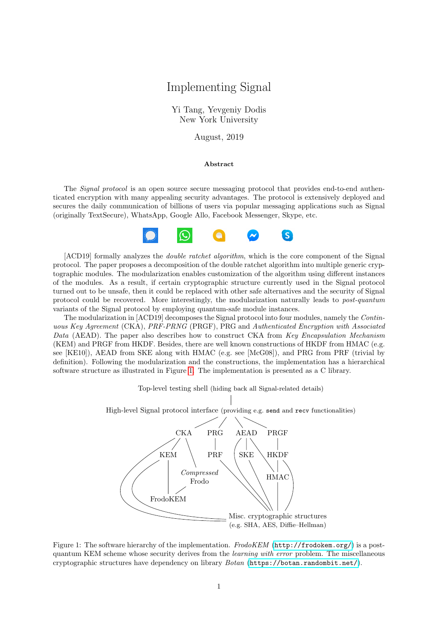## Implementing Signal

Yi Tang, Yevgeniy Dodis New York University

August, 2019

## Abstract

The *Signal protocol* is an open source secure messaging protocol that provides end-to-end authenticated encryption with many appealing security advantages. The protocol is extensively deployed and secures the daily communication of billions of users via popular messaging applications such as Signal (originally TextSecure), WhatsApp, Google Allo, Facebook Messenger, Skype, etc.



[ACD19] formally analyzes the *double ratchet algorithm*, which is the core component of the Signal protocol. The paper proposes a decomposition of the double ratchet algorithm into multiple generic cryptographic modules. The modularization enables customization of the algorithm using different instances of the modules. As a result, if certain cryptographic structure currently used in the Signal protocol turned out to be unsafe, then it could be replaced with other safe alternatives and the security of Signal protocol could be recovered. More interestingly, the modularization naturally leads to post-quantum variants of the Signal protocol by employing quantum-safe module instances.

The modularization in [ACD19] decomposes the Signal protocol into four modules, namely the Continuous Key Agreement (CKA), PRF-PRNG (PRGF), PRG and Authenticated Encryption with Associated Data (AEAD). The paper also describes how to construct CKA from Key Encapsulation Mechanism (KEM) and PRGF from HKDF. Besides, there are well known constructions of HKDF from HMAC (e.g. see [KE10]), AEAD from SKE along with HMAC (e.g. see [McG08]), and PRG from PRF (trivial by definition). Following the modularization and the constructions, the implementation has a hierarchical software structure as illustrated in Figure [1.](#page-0-0) The implementation is presented as a C library.



<span id="page-0-0"></span>Figure 1: The software hierarchy of the implementation. FrodoKEM (<http://frodokem.org/>) is a postquantum KEM scheme whose security derives from the learning with error problem. The miscellaneous cryptographic structures have dependency on library  $Botan$  (<https://botan.randombit.net/>).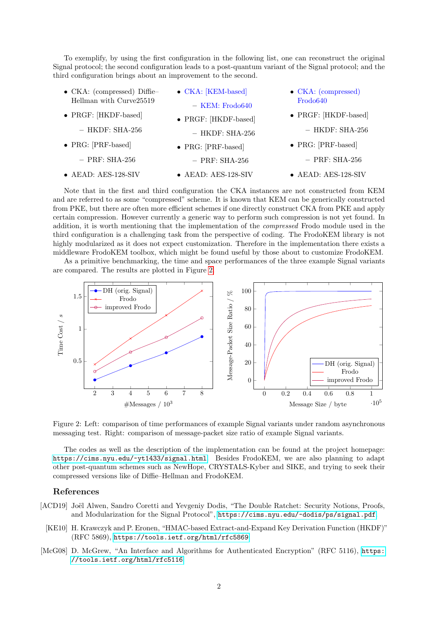To exemplify, by using the first configuration in the following list, one can reconstruct the original Signal protocol; the second configuration leads to a post-quantum variant of the Signal protocol; and the third configuration brings about an improvement to the second.

| $\bullet$ CKA: (compressed) Diffie- | $\bullet$ CKA: [KEM-based]   | $\bullet$ CKA: (compressed)  |  |  |
|-------------------------------------|------------------------------|------------------------------|--|--|
| Hellman with Curve25519             | $-$ KEM: Frodo640            | Frodo <sub>640</sub>         |  |  |
| • PRGF: [HKDF-based]                | $\bullet$ PRGF: [HKDF-based] | $\bullet$ PRGF: [HKDF-based] |  |  |
| $-$ HKDF: SHA-256                   | $-$ HKDF: SHA-256            | $-$ HKDF: SHA-256            |  |  |
| $\bullet$ PRG: [PRF-based]          | $\bullet$ PRG: [PRF-based]   | $\bullet$ PRG: [PRF-based]   |  |  |
| $-$ PRF: SHA-256                    | $-$ PRF: SHA-256             | $-$ PRF: SHA-256             |  |  |
| $\bullet$ AEAD: AES-128-SIV         | $\bullet$ AEAD: AES-128-SIV  | $\bullet$ AEAD: AES-128-SIV  |  |  |

Note that in the first and third configuration the CKA instances are not constructed from KEM and are referred to as some "compressed" scheme. It is known that KEM can be generically constructed from PKE, but there are often more efficient schemes if one directly construct CKA from PKE and apply certain compression. However currently a generic way to perform such compression is not yet found. In addition, it is worth mentioning that the implementation of the compressed Frodo module used in the third configuration is a challenging task from the perspective of coding. The FrodoKEM library is not highly modularized as it does not expect customization. Therefore in the implementation there exists a middleware FrodoKEM toolbox, which might be found useful by those about to customize FrodoKEM.

As a primitive benchmarking, the time and space performances of the three example Signal variants are compared. The results are plotted in Figure [2.](#page-1-0)



<span id="page-1-0"></span>Figure 2: Left: comparison of time performances of example Signal variants under random asynchronous messaging test. Right: comparison of message-packet size ratio of example Signal variants.

The codes as well as the description of the implementation can be found at the project homepage: <https://cims.nyu.edu/~yt1433/signal.html>. Besides FrodoKEM, we are also planning to adapt other post-quantum schemes such as NewHope, CRYSTALS-Kyber and SIKE, and trying to seek their compressed versions like of Diffie–Hellman and FrodoKEM.

## References

- [ACD19] Joël Alwen, Sandro Coretti and Yevgeniy Dodis, "The Double Ratchet: Security Notions, Proofs, and Modularization for the Signal Protocol", <https://cims.nyu.edu/~dodis/ps/signal.pdf>.
	- [KE10] H. Krawczyk and P. Eronen, "HMAC-based Extract-and-Expand Key Derivation Function (HKDF)" (RFC 5869), <https://tools.ietf.org/html/rfc5869>.
- [McG08] D. McGrew, "An Interface and Algorithms for Authenticated Encryption" (RFC 5116), [https:](https://tools.ietf.org/html/rfc5116) [//tools.ietf.org/html/rfc5116](https://tools.ietf.org/html/rfc5116).